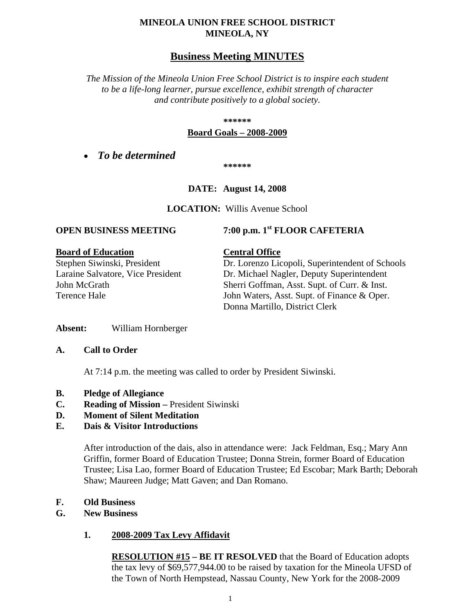## **MINEOLA UNION FREE SCHOOL DISTRICT MINEOLA, NY**

# **Business Meeting MINUTES**

*The Mission of the Mineola Union Free School District is to inspire each student to be a life-long learner, pursue excellence, exhibit strength of character and contribute positively to a global society.*

#### **\*\*\*\*\*\***

#### **Board Goals – 2008-2009**

• *To be determined*

**\*\*\*\*\*\***

## **DATE: August 14, 2008**

**LOCATION:** Willis Avenue School

#### **Board of Education Central Office**

# **OPEN BUSINESS MEETING 7:00 p.m. 1st FLOOR CAFETERIA**

Stephen Siwinski, President Dr. Lorenzo Licopoli, Superintendent of Schools Laraine Salvatore, Vice President Dr. Michael Nagler, Deputy Superintendent John McGrath Sherri Goffman, Asst. Supt. of Curr. & Inst. Terence Hale John Waters, Asst. Supt. of Finance & Oper. Donna Martillo, District Clerk

**Absent:** William Hornberger

#### **A. Call to Order**

At 7:14 p.m. the meeting was called to order by President Siwinski.

- **B. Pledge of Allegiance**
- **C. Reading of Mission –** President Siwinski
- **D. Moment of Silent Meditation**

## **E. Dais & Visitor Introductions**

After introduction of the dais, also in attendance were: Jack Feldman, Esq.; Mary Ann Griffin, former Board of Education Trustee; Donna Strein, former Board of Education Trustee; Lisa Lao, former Board of Education Trustee; Ed Escobar; Mark Barth; Deborah Shaw; Maureen Judge; Matt Gaven; and Dan Romano.

#### **F. Old Business**

## **G. New Business**

## **1. 2008-2009 Tax Levy Affidavit**

**RESOLUTION #15 – BE IT RESOLVED** that the Board of Education adopts the tax levy of \$69,577,944.00 to be raised by taxation for the Mineola UFSD of the Town of North Hempstead, Nassau County, New York for the 2008-2009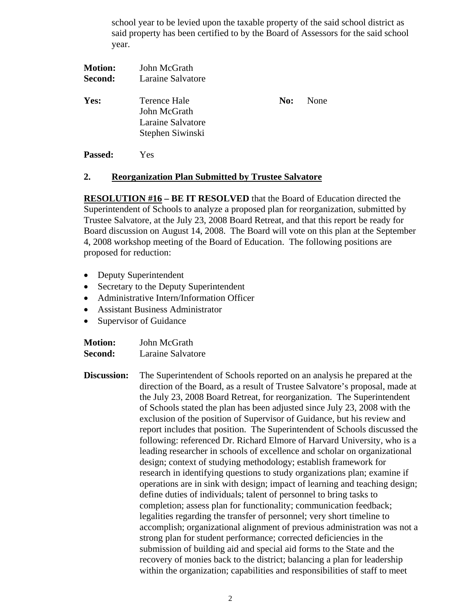school year to be levied upon the taxable property of the said school district as said property has been certified to by the Board of Assessors for the said school year.

| <b>Motion:</b><br>Second: | John McGrath<br>Laraine Salvatore                                     |     |      |
|---------------------------|-----------------------------------------------------------------------|-----|------|
| Yes:                      | Terence Hale<br>John McGrath<br>Laraine Salvatore<br>Stephen Siwinski | No: | None |
| <b>Passed:</b>            | Yes                                                                   |     |      |

## **2. Reorganization Plan Submitted by Trustee Salvatore**

**RESOLUTION #16 – BE IT RESOLVED** that the Board of Education directed the Superintendent of Schools to analyze a proposed plan for reorganization, submitted by Trustee Salvatore, at the July 23, 2008 Board Retreat, and that this report be ready for Board discussion on August 14, 2008. The Board will vote on this plan at the September 4, 2008 workshop meeting of the Board of Education. The following positions are proposed for reduction:

- Deputy Superintendent
- Secretary to the Deputy Superintendent
- Administrative Intern/Information Officer
- Assistant Business Administrator
- Supervisor of Guidance

| <b>Motion:</b> | John McGrath      |
|----------------|-------------------|
| Second:        | Laraine Salvatore |

**Discussion:** The Superintendent of Schools reported on an analysis he prepared at the direction of the Board, as a result of Trustee Salvatore's proposal, made at the July 23, 2008 Board Retreat, for reorganization. The Superintendent of Schools stated the plan has been adjusted since July 23, 2008 with the exclusion of the position of Supervisor of Guidance, but his review and report includes that position. The Superintendent of Schools discussed the following: referenced Dr. Richard Elmore of Harvard University, who is a leading researcher in schools of excellence and scholar on organizational design; context of studying methodology; establish framework for research in identifying questions to study organizations plan; examine if operations are in sink with design; impact of learning and teaching design; define duties of individuals; talent of personnel to bring tasks to completion; assess plan for functionality; communication feedback; legalities regarding the transfer of personnel; very short timeline to accomplish; organizational alignment of previous administration was not a strong plan for student performance; corrected deficiencies in the submission of building aid and special aid forms to the State and the recovery of monies back to the district; balancing a plan for leadership within the organization; capabilities and responsibilities of staff to meet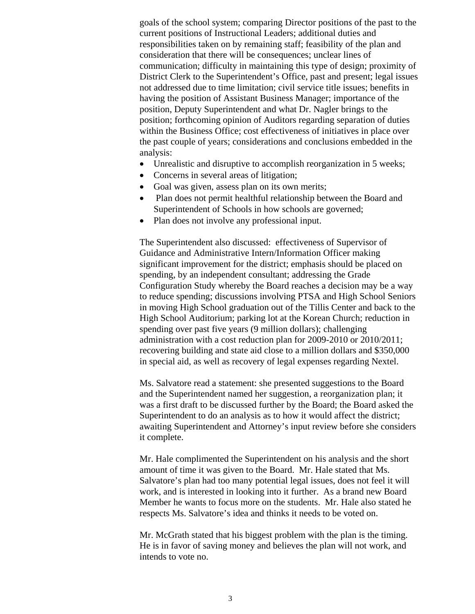goals of the school system; comparing Director positions of the past to the current positions of Instructional Leaders; additional duties and responsibilities taken on by remaining staff; feasibility of the plan and consideration that there will be consequences; unclear lines of communication; difficulty in maintaining this type of design; proximity of District Clerk to the Superintendent's Office, past and present; legal issues not addressed due to time limitation; civil service title issues; benefits in having the position of Assistant Business Manager; importance of the position, Deputy Superintendent and what Dr. Nagler brings to the position; forthcoming opinion of Auditors regarding separation of duties within the Business Office; cost effectiveness of initiatives in place over the past couple of years; considerations and conclusions embedded in the analysis:

- Unrealistic and disruptive to accomplish reorganization in 5 weeks;
- Concerns in several areas of litigation;
- Goal was given, assess plan on its own merits;
- Plan does not permit healthful relationship between the Board and Superintendent of Schools in how schools are governed;
- Plan does not involve any professional input.

The Superintendent also discussed: effectiveness of Supervisor of Guidance and Administrative Intern/Information Officer making significant improvement for the district; emphasis should be placed on spending, by an independent consultant; addressing the Grade Configuration Study whereby the Board reaches a decision may be a way to reduce spending; discussions involving PTSA and High School Seniors in moving High School graduation out of the Tillis Center and back to the High School Auditorium; parking lot at the Korean Church; reduction in spending over past five years (9 million dollars); challenging administration with a cost reduction plan for 2009-2010 or 2010/2011; recovering building and state aid close to a million dollars and \$350,000 in special aid, as well as recovery of legal expenses regarding Nextel.

Ms. Salvatore read a statement: she presented suggestions to the Board and the Superintendent named her suggestion, a reorganization plan; it was a first draft to be discussed further by the Board; the Board asked the Superintendent to do an analysis as to how it would affect the district; awaiting Superintendent and Attorney's input review before she considers it complete.

Mr. Hale complimented the Superintendent on his analysis and the short amount of time it was given to the Board. Mr. Hale stated that Ms. Salvatore's plan had too many potential legal issues, does not feel it will work, and is interested in looking into it further. As a brand new Board Member he wants to focus more on the students. Mr. Hale also stated he respects Ms. Salvatore's idea and thinks it needs to be voted on.

Mr. McGrath stated that his biggest problem with the plan is the timing. He is in favor of saving money and believes the plan will not work, and intends to vote no.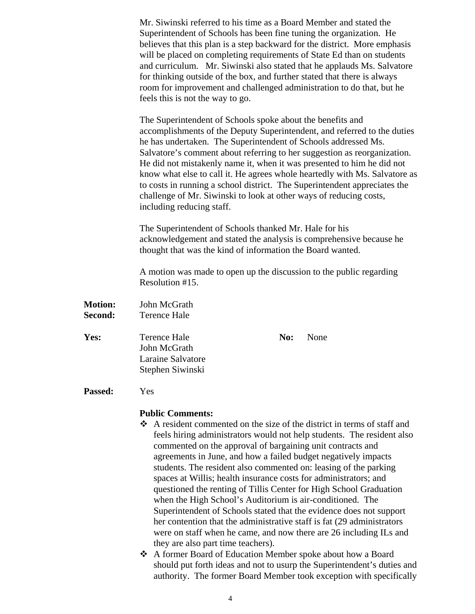Mr. Siwinski referred to his time as a Board Member and stated the Superintendent of Schools has been fine tuning the organization. He believes that this plan is a step backward for the district. More emphasis will be placed on completing requirements of State Ed than on students and curriculum. Mr. Siwinski also stated that he applauds Ms. Salvatore for thinking outside of the box, and further stated that there is always room for improvement and challenged administration to do that, but he feels this is not the way to go.

The Superintendent of Schools spoke about the benefits and accomplishments of the Deputy Superintendent, and referred to the duties he has undertaken. The Superintendent of Schools addressed Ms. Salvatore's comment about referring to her suggestion as reorganization. He did not mistakenly name it, when it was presented to him he did not know what else to call it. He agrees whole heartedly with Ms. Salvatore as to costs in running a school district. The Superintendent appreciates the challenge of Mr. Siwinski to look at other ways of reducing costs, including reducing staff.

The Superintendent of Schools thanked Mr. Hale for his acknowledgement and stated the analysis is comprehensive because he thought that was the kind of information the Board wanted.

A motion was made to open up the discussion to the public regarding Resolution #15.

**Motion:** John McGrath **Second:** Terence Hale **Yes:** Terence Hale **No:** None John McGrath Laraine Salvatore Stephen Siwinski **Passed:** Yes

#### **Public Comments:**

- A resident commented on the size of the district in terms of staff and feels hiring administrators would not help students. The resident also commented on the approval of bargaining unit contracts and agreements in June, and how a failed budget negatively impacts students. The resident also commented on: leasing of the parking spaces at Willis; health insurance costs for administrators; and questioned the renting of Tillis Center for High School Graduation when the High School's Auditorium is air-conditioned. The Superintendent of Schools stated that the evidence does not support her contention that the administrative staff is fat (29 administrators were on staff when he came, and now there are 26 including ILs and they are also part time teachers).
- A former Board of Education Member spoke about how a Board should put forth ideas and not to usurp the Superintendent's duties and authority. The former Board Member took exception with specifically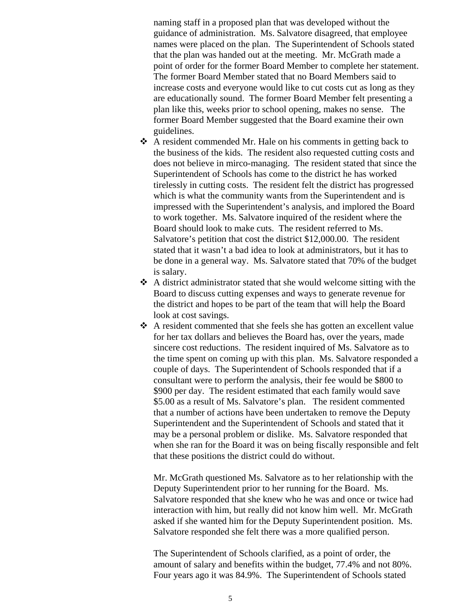naming staff in a proposed plan that was developed without the guidance of administration. Ms. Salvatore disagreed, that employee names were placed on the plan. The Superintendent of Schools stated that the plan was handed out at the meeting. Mr. McGrath made a point of order for the former Board Member to complete her statement. The former Board Member stated that no Board Members said to increase costs and everyone would like to cut costs cut as long as they are educationally sound. The former Board Member felt presenting a plan like this, weeks prior to school opening, makes no sense. The former Board Member suggested that the Board examine their own guidelines.

- A resident commended Mr. Hale on his comments in getting back to the business of the kids. The resident also requested cutting costs and does not believe in mirco-managing. The resident stated that since the Superintendent of Schools has come to the district he has worked tirelessly in cutting costs. The resident felt the district has progressed which is what the community wants from the Superintendent and is impressed with the Superintendent's analysis, and implored the Board to work together. Ms. Salvatore inquired of the resident where the Board should look to make cuts. The resident referred to Ms. Salvatore's petition that cost the district \$12,000.00. The resident stated that it wasn't a bad idea to look at administrators, but it has to be done in a general way. Ms. Salvatore stated that 70% of the budget is salary.
- A district administrator stated that she would welcome sitting with the Board to discuss cutting expenses and ways to generate revenue for the district and hopes to be part of the team that will help the Board look at cost savings.
- A resident commented that she feels she has gotten an excellent value for her tax dollars and believes the Board has, over the years, made sincere cost reductions. The resident inquired of Ms. Salvatore as to the time spent on coming up with this plan. Ms. Salvatore responded a couple of days. The Superintendent of Schools responded that if a consultant were to perform the analysis, their fee would be \$800 to \$900 per day. The resident estimated that each family would save \$5.00 as a result of Ms. Salvatore's plan. The resident commented that a number of actions have been undertaken to remove the Deputy Superintendent and the Superintendent of Schools and stated that it may be a personal problem or dislike. Ms. Salvatore responded that when she ran for the Board it was on being fiscally responsible and felt that these positions the district could do without.

Mr. McGrath questioned Ms. Salvatore as to her relationship with the Deputy Superintendent prior to her running for the Board. Ms. Salvatore responded that she knew who he was and once or twice had interaction with him, but really did not know him well. Mr. McGrath asked if she wanted him for the Deputy Superintendent position. Ms. Salvatore responded she felt there was a more qualified person.

The Superintendent of Schools clarified, as a point of order, the amount of salary and benefits within the budget, 77.4% and not 80%. Four years ago it was 84.9%. The Superintendent of Schools stated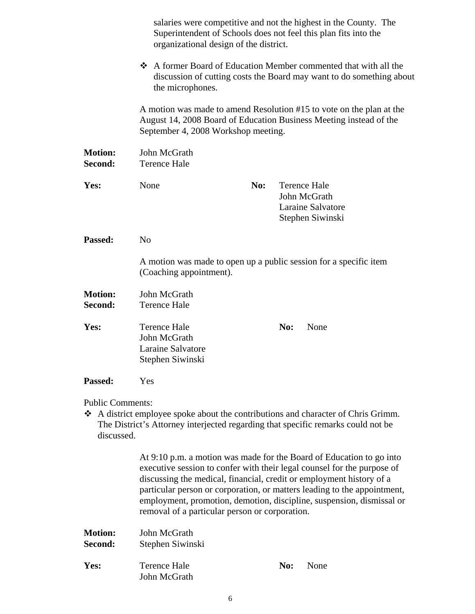|                                       | salaries were competitive and not the highest in the County. The<br>Superintendent of Schools does not feel this plan fits into the<br>organizational design of the district.     |     |                                                                                                                                                                     |  |  |
|---------------------------------------|-----------------------------------------------------------------------------------------------------------------------------------------------------------------------------------|-----|---------------------------------------------------------------------------------------------------------------------------------------------------------------------|--|--|
|                                       | A former Board of Education Member commented that with all the<br>discussion of cutting costs the Board may want to do something about<br>the microphones.                        |     |                                                                                                                                                                     |  |  |
|                                       | A motion was made to amend Resolution #15 to vote on the plan at the<br>August 14, 2008 Board of Education Business Meeting instead of the<br>September 4, 2008 Workshop meeting. |     |                                                                                                                                                                     |  |  |
| <b>Motion:</b><br>Second:             | John McGrath<br><b>Terence Hale</b>                                                                                                                                               |     |                                                                                                                                                                     |  |  |
| Yes:                                  | None                                                                                                                                                                              | No: | <b>Terence Hale</b><br>John McGrath<br><b>Laraine Salvatore</b><br>Stephen Siwinski                                                                                 |  |  |
| Passed:                               | N <sub>o</sub>                                                                                                                                                                    |     |                                                                                                                                                                     |  |  |
|                                       | (Coaching appointment).                                                                                                                                                           |     | A motion was made to open up a public session for a specific item                                                                                                   |  |  |
| <b>Motion:</b><br>Second:             | John McGrath<br><b>Terence Hale</b>                                                                                                                                               |     |                                                                                                                                                                     |  |  |
| Yes:                                  | <b>Terence Hale</b><br>John McGrath<br>Laraine Salvatore<br>Stephen Siwinski                                                                                                      |     | No:<br>None                                                                                                                                                         |  |  |
| Passed:                               | Yes                                                                                                                                                                               |     |                                                                                                                                                                     |  |  |
| <b>Public Comments:</b><br>discussed. |                                                                                                                                                                                   |     | A district employee spoke about the contributions and character of Chris Grimm.<br>The District's Attorney interjected regarding that specific remarks could not be |  |  |
|                                       | At 9:10 p.m. a motion was made for the Board of Education to go into                                                                                                              |     |                                                                                                                                                                     |  |  |

executive session to confer with their legal counsel for the purpose of discussing the medical, financial, credit or employment history of a particular person or corporation, or matters leading to the appointment, employment, promotion, demotion, discipline, suspension, dismissal or removal of a particular person or corporation.

| <b>Motion:</b><br>Second: | John McGrath<br>Stephen Siwinski |     |      |
|---------------------------|----------------------------------|-----|------|
| Yes:                      | Terence Hale<br>John McGrath     | No: | None |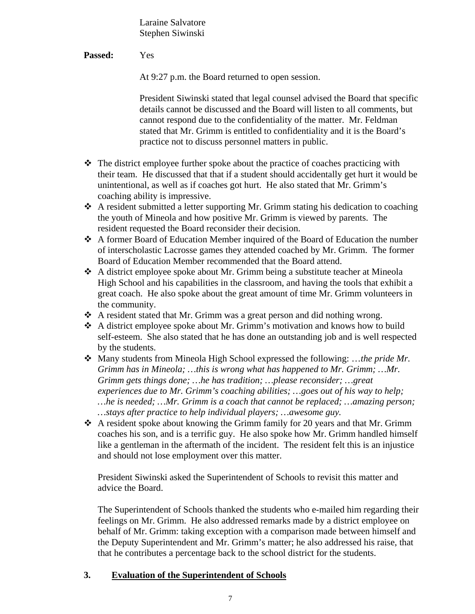Laraine Salvatore Stephen Siwinski

**Passed:** Yes

At 9:27 p.m. the Board returned to open session.

President Siwinski stated that legal counsel advised the Board that specific details cannot be discussed and the Board will listen to all comments, but cannot respond due to the confidentiality of the matter. Mr. Feldman stated that Mr. Grimm is entitled to confidentiality and it is the Board's practice not to discuss personnel matters in public.

- $\triangle$  The district employee further spoke about the practice of coaches practicing with their team. He discussed that that if a student should accidentally get hurt it would be unintentional, as well as if coaches got hurt. He also stated that Mr. Grimm's coaching ability is impressive.
- $\triangle$  A resident submitted a letter supporting Mr. Grimm stating his dedication to coaching the youth of Mineola and how positive Mr. Grimm is viewed by parents. The resident requested the Board reconsider their decision.
- A former Board of Education Member inquired of the Board of Education the number of interscholastic Lacrosse games they attended coached by Mr. Grimm. The former Board of Education Member recommended that the Board attend.
- A district employee spoke about Mr. Grimm being a substitute teacher at Mineola High School and his capabilities in the classroom, and having the tools that exhibit a great coach. He also spoke about the great amount of time Mr. Grimm volunteers in the community.
- A resident stated that Mr. Grimm was a great person and did nothing wrong.
- A district employee spoke about Mr. Grimm's motivation and knows how to build self-esteem. She also stated that he has done an outstanding job and is well respected by the students.
- Many students from Mineola High School expressed the following: …*the pride Mr. Grimm has in Mineola; …this is wrong what has happened to Mr. Grimm; …Mr. Grimm gets things done; …he has tradition; …please reconsider; …great experiences due to Mr. Grimm's coaching abilities; …goes out of his way to help; …he is needed; …Mr. Grimm is a coach that cannot be replaced; …amazing person; …stays after practice to help individual players; …awesome guy.*
- A resident spoke about knowing the Grimm family for 20 years and that Mr. Grimm coaches his son, and is a terrific guy. He also spoke how Mr. Grimm handled himself like a gentleman in the aftermath of the incident. The resident felt this is an injustice and should not lose employment over this matter.

President Siwinski asked the Superintendent of Schools to revisit this matter and advice the Board.

The Superintendent of Schools thanked the students who e-mailed him regarding their feelings on Mr. Grimm. He also addressed remarks made by a district employee on behalf of Mr. Grimm: taking exception with a comparison made between himself and the Deputy Superintendent and Mr. Grimm's matter; he also addressed his raise, that that he contributes a percentage back to the school district for the students.

#### **3. Evaluation of the Superintendent of Schools**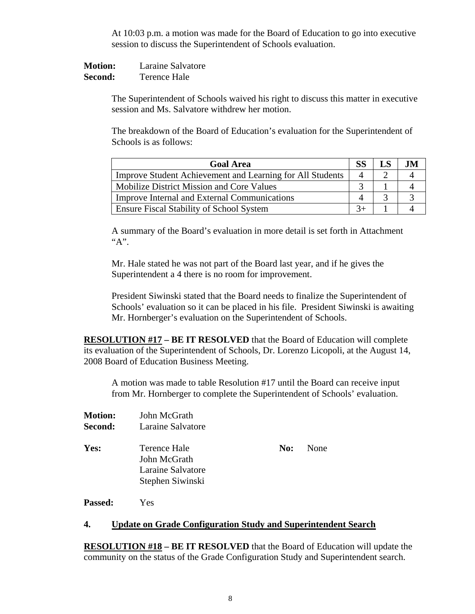At 10:03 p.m. a motion was made for the Board of Education to go into executive session to discuss the Superintendent of Schools evaluation.

**Motion:** Laraine Salvatore **Second:** Terence Hale

> The Superintendent of Schools waived his right to discuss this matter in executive session and Ms. Salvatore withdrew her motion.

The breakdown of the Board of Education's evaluation for the Superintendent of Schools is as follows:

| <b>Goal Area</b>                                          |           |  |
|-----------------------------------------------------------|-----------|--|
| Improve Student Achievement and Learning for All Students | $\Lambda$ |  |
| <b>Mobilize District Mission and Core Values</b>          |           |  |
| <b>Improve Internal and External Communications</b>       |           |  |
| <b>Ensure Fiscal Stability of School System</b>           |           |  |

A summary of the Board's evaluation in more detail is set forth in Attachment "A".

Mr. Hale stated he was not part of the Board last year, and if he gives the Superintendent a 4 there is no room for improvement.

President Siwinski stated that the Board needs to finalize the Superintendent of Schools' evaluation so it can be placed in his file. President Siwinski is awaiting Mr. Hornberger's evaluation on the Superintendent of Schools.

**RESOLUTION #17 – BE IT RESOLVED** that the Board of Education will complete its evaluation of the Superintendent of Schools, Dr. Lorenzo Licopoli, at the August 14, 2008 Board of Education Business Meeting.

A motion was made to table Resolution #17 until the Board can receive input from Mr. Hornberger to complete the Superintendent of Schools' evaluation.

| <b>Motion:</b> | John McGrath                                                          |     |      |
|----------------|-----------------------------------------------------------------------|-----|------|
| <b>Second:</b> | Laraine Salvatore                                                     |     |      |
| <b>Yes:</b>    | Terence Hale<br>John McGrath<br>Laraine Salvatore<br>Stephen Siwinski | No: | None |
|                |                                                                       |     |      |

**Passed:** Yes

#### **4. Update on Grade Configuration Study and Superintendent Search**

**RESOLUTION #18 – BE IT RESOLVED** that the Board of Education will update the community on the status of the Grade Configuration Study and Superintendent search.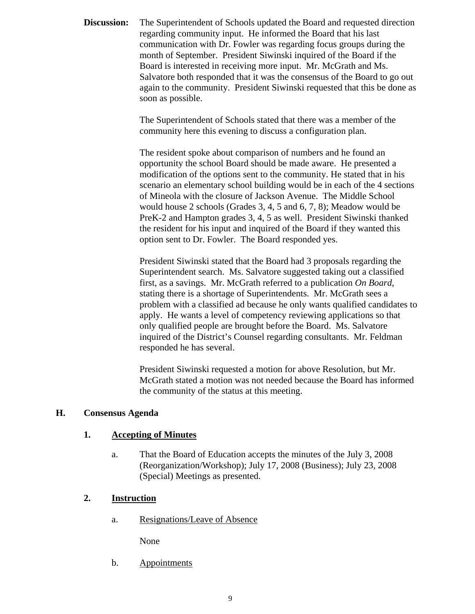**Discussion:** The Superintendent of Schools updated the Board and requested direction regarding community input. He informed the Board that his last communication with Dr. Fowler was regarding focus groups during the month of September. President Siwinski inquired of the Board if the Board is interested in receiving more input. Mr. McGrath and Ms. Salvatore both responded that it was the consensus of the Board to go out again to the community. President Siwinski requested that this be done as soon as possible.

> The Superintendent of Schools stated that there was a member of the community here this evening to discuss a configuration plan.

The resident spoke about comparison of numbers and he found an opportunity the school Board should be made aware. He presented a modification of the options sent to the community. He stated that in his scenario an elementary school building would be in each of the 4 sections of Mineola with the closure of Jackson Avenue. The Middle School would house 2 schools (Grades 3, 4, 5 and 6, 7, 8); Meadow would be PreK-2 and Hampton grades 3, 4, 5 as well. President Siwinski thanked the resident for his input and inquired of the Board if they wanted this option sent to Dr. Fowler. The Board responded yes.

President Siwinski stated that the Board had 3 proposals regarding the Superintendent search. Ms. Salvatore suggested taking out a classified first, as a savings. Mr. McGrath referred to a publication *On Board*, stating there is a shortage of Superintendents. Mr. McGrath sees a problem with a classified ad because he only wants qualified candidates to apply. He wants a level of competency reviewing applications so that only qualified people are brought before the Board. Ms. Salvatore inquired of the District's Counsel regarding consultants. Mr. Feldman responded he has several.

President Siwinski requested a motion for above Resolution, but Mr. McGrath stated a motion was not needed because the Board has informed the community of the status at this meeting.

#### **H. Consensus Agenda**

#### **1. Accepting of Minutes**

a. That the Board of Education accepts the minutes of the July 3, 2008 (Reorganization/Workshop); July 17, 2008 (Business); July 23, 2008 (Special) Meetings as presented.

#### **2. Instruction**

a. Resignations/Leave of Absence

None

b. Appointments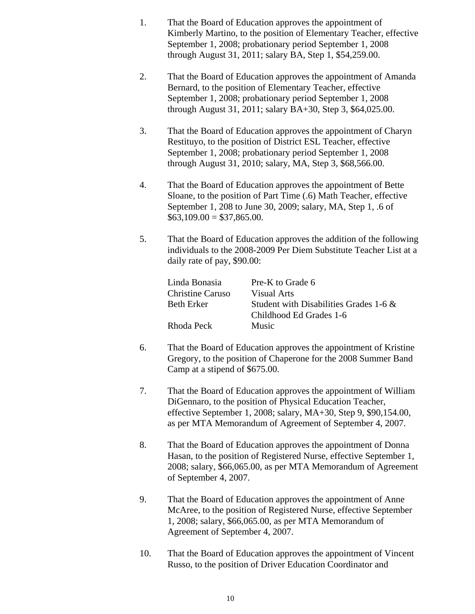- 1. That the Board of Education approves the appointment of Kimberly Martino, to the position of Elementary Teacher, effective September 1, 2008; probationary period September 1, 2008 through August 31, 2011; salary BA, Step 1, \$54,259.00.
- 2. That the Board of Education approves the appointment of Amanda Bernard, to the position of Elementary Teacher, effective September 1, 2008; probationary period September 1, 2008 through August 31, 2011; salary BA+30, Step 3, \$64,025.00.
- 3. That the Board of Education approves the appointment of Charyn Restituyo, to the position of District ESL Teacher, effective September 1, 2008; probationary period September 1, 2008 through August 31, 2010; salary, MA, Step 3, \$68,566.00.
- 4. That the Board of Education approves the appointment of Bette Sloane, to the position of Part Time (.6) Math Teacher, effective September 1, 208 to June 30, 2009; salary, MA, Step 1, .6 of  $$63,109.00 = $37,865.00.$
- 5. That the Board of Education approves the addition of the following individuals to the 2008-2009 Per Diem Substitute Teacher List at a daily rate of pay, \$90.00:

| Pre-K to Grade 6                       |
|----------------------------------------|
| Visual Arts                            |
| Student with Disabilities Grades 1-6 & |
| Childhood Ed Grades 1-6                |
| <b>Music</b>                           |
|                                        |

- 6. That the Board of Education approves the appointment of Kristine Gregory, to the position of Chaperone for the 2008 Summer Band Camp at a stipend of \$675.00.
- 7. That the Board of Education approves the appointment of William DiGennaro, to the position of Physical Education Teacher, effective September 1, 2008; salary, MA+30, Step 9, \$90,154.00, as per MTA Memorandum of Agreement of September 4, 2007.
- 8. That the Board of Education approves the appointment of Donna Hasan, to the position of Registered Nurse, effective September 1, 2008; salary, \$66,065.00, as per MTA Memorandum of Agreement of September 4, 2007.
- 9. That the Board of Education approves the appointment of Anne McAree, to the position of Registered Nurse, effective September 1, 2008; salary, \$66,065.00, as per MTA Memorandum of Agreement of September 4, 2007.
- 10. That the Board of Education approves the appointment of Vincent Russo, to the position of Driver Education Coordinator and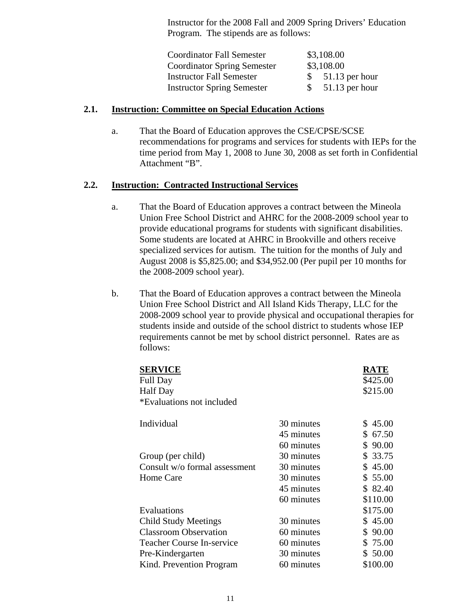Instructor for the 2008 Fall and 2009 Spring Drivers' Education Program. The stipends are as follows:

| <b>Coordinator Fall Semester</b>   |    | \$3,108.00       |
|------------------------------------|----|------------------|
| <b>Coordinator Spring Semester</b> |    | \$3,108.00       |
| <b>Instructor Fall Semester</b>    | S. | $51.13$ per hour |
| <b>Instructor Spring Semester</b>  | S. | $51.13$ per hour |

#### **2.1. Instruction: Committee on Special Education Actions**

a. That the Board of Education approves the CSE/CPSE/SCSE recommendations for programs and services for students with IEPs for the time period from May 1, 2008 to June 30, 2008 as set forth in Confidential Attachment "B".

#### **2.2. Instruction: Contracted Instructional Services**

- a. That the Board of Education approves a contract between the Mineola Union Free School District and AHRC for the 2008-2009 school year to provide educational programs for students with significant disabilities. Some students are located at AHRC in Brookville and others receive specialized services for autism. The tuition for the months of July and August 2008 is \$5,825.00; and \$34,952.00 (Per pupil per 10 months for the 2008-2009 school year).
- b. That the Board of Education approves a contract between the Mineola Union Free School District and All Island Kids Therapy, LLC for the 2008-2009 school year to provide physical and occupational therapies for students inside and outside of the school district to students whose IEP requirements cannot be met by school district personnel. Rates are as follows:

| <b>SERVICE</b>                   |            | RATE        |
|----------------------------------|------------|-------------|
| <b>Full Day</b>                  |            | \$425.00    |
| <b>Half Day</b>                  |            | \$215.00    |
| *Evaluations not included        |            |             |
|                                  |            |             |
| Individual                       | 30 minutes | \$45.00     |
|                                  | 45 minutes | 67.50<br>S. |
|                                  | 60 minutes | S.<br>90.00 |
| Group (per child)                | 30 minutes | 33.75<br>\$ |
| Consult w/o formal assessment    | 30 minutes | 45.00<br>\$ |
| Home Care                        | 30 minutes | \$55.00     |
|                                  | 45 minutes | \$82.40     |
|                                  | 60 minutes | \$110.00    |
| Evaluations                      |            | \$175.00    |
| <b>Child Study Meetings</b>      | 30 minutes | \$45.00     |
| <b>Classroom Observation</b>     | 60 minutes | 90.00<br>S  |
| <b>Teacher Course In-service</b> | 60 minutes | \$75.00     |
| Pre-Kindergarten                 | 30 minutes | 50.00<br>S  |
| Kind. Prevention Program         | 60 minutes | \$100.00    |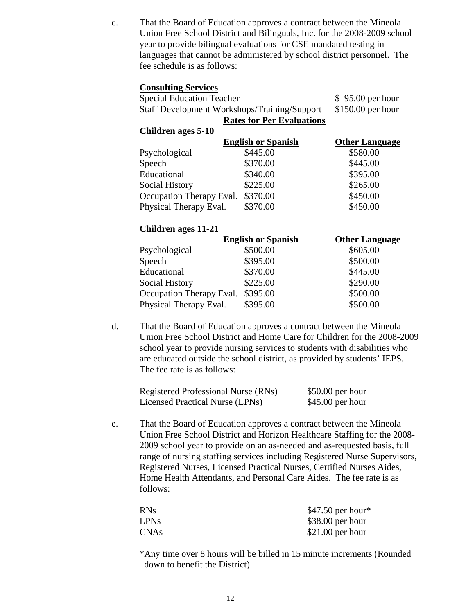c. That the Board of Education approves a contract between the Mineola Union Free School District and Bilinguals, Inc. for the 2008-2009 school year to provide bilingual evaluations for CSE mandated testing in languages that cannot be administered by school district personnel. The fee schedule is as follows:

#### **Consulting Services**

| <b>Special Education Teacher</b>                    |  |  | $$95.00$ per hour                |  |
|-----------------------------------------------------|--|--|----------------------------------|--|
| <b>Staff Development Workshops/Training/Support</b> |  |  | $$150.00$ per hour               |  |
|                                                     |  |  | <b>Rates for Per Evaluations</b> |  |
| Children ages 5-10                                  |  |  |                                  |  |
|                                                     |  |  |                                  |  |

|                          | <b>English or Spanish</b> | <b>Other Language</b> |
|--------------------------|---------------------------|-----------------------|
| Psychological            | \$445.00                  | \$580.00              |
| Speech                   | \$370.00                  | \$445.00              |
| Educational              | \$340.00                  | \$395.00              |
| <b>Social History</b>    | \$225.00                  | \$265.00              |
| Occupation Therapy Eval. | \$370.00                  | \$450.00              |
| Physical Therapy Eval.   | \$370.00                  | \$450.00              |

## **Children ages 11-21**

|                          | <b>English or Spanish</b> | <b>Other Language</b> |
|--------------------------|---------------------------|-----------------------|
| Psychological            | \$500.00                  | \$605.00              |
| Speech                   | \$395.00                  | \$500.00              |
| Educational              | \$370.00                  | \$445.00              |
| <b>Social History</b>    | \$225.00                  | \$290.00              |
| Occupation Therapy Eval. | \$395.00                  | \$500.00              |
| Physical Therapy Eval.   | \$395.00                  | \$500.00              |

d. That the Board of Education approves a contract between the Mineola Union Free School District and Home Care for Children for the 2008-2009 school year to provide nursing services to students with disabilities who are educated outside the school district, as provided by students' IEPS. The fee rate is as follows:

| Registered Professional Nurse (RNs) | $$50.00$ per hour |
|-------------------------------------|-------------------|
| Licensed Practical Nurse (LPNs)     | $$45.00$ per hour |

e. That the Board of Education approves a contract between the Mineola Union Free School District and Horizon Healthcare Staffing for the 2008- 2009 school year to provide on an as-needed and as-requested basis, full range of nursing staffing services including Registered Nurse Supervisors, Registered Nurses, Licensed Practical Nurses, Certified Nurses Aides, Home Health Attendants, and Personal Care Aides. The fee rate is as follows:

| <b>RNs</b>  | $$47.50$ per hour* |
|-------------|--------------------|
| <b>LPNs</b> | $$38.00$ per hour  |
| <b>CNAs</b> | $$21.00$ per hour  |

\*Any time over 8 hours will be billed in 15 minute increments (Rounded down to benefit the District).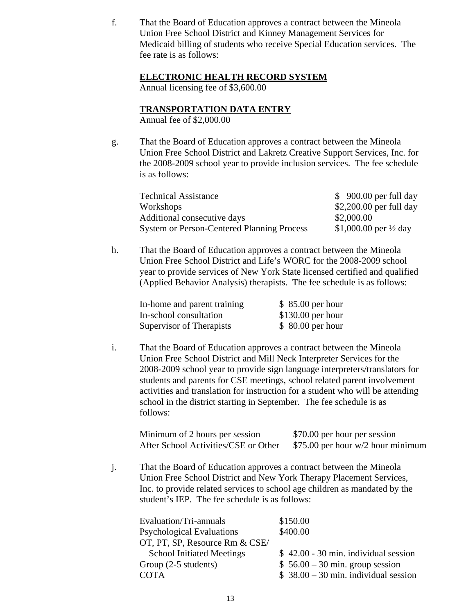f. That the Board of Education approves a contract between the Mineola Union Free School District and Kinney Management Services for Medicaid billing of students who receive Special Education services. The fee rate is as follows:

#### **ELECTRONIC HEALTH RECORD SYSTEM**

Annual licensing fee of \$3,600.00

#### **TRANSPORTATION DATA ENTRY**

Annual fee of \$2,000.00

g. That the Board of Education approves a contract between the Mineola Union Free School District and Lakretz Creative Support Services, Inc. for the 2008-2009 school year to provide inclusion services. The fee schedule is as follows:

| <b>Technical Assistance</b>                       | $$900.00$ per full day           |
|---------------------------------------------------|----------------------------------|
| Workshops                                         | $$2,200.00$ per full day         |
| Additional consecutive days                       | \$2,000.00                       |
| <b>System or Person-Centered Planning Process</b> | \$1,000.00 per $\frac{1}{2}$ day |

h. That the Board of Education approves a contract between the Mineola Union Free School District and Life's WORC for the 2008-2009 school year to provide services of New York State licensed certified and qualified (Applied Behavior Analysis) therapists. The fee schedule is as follows:

| In-home and parent training | $$85.00$ per hour  |
|-----------------------------|--------------------|
| In-school consultation      | $$130.00$ per hour |
| Supervisor of Therapists    | $$80.00$ per hour  |

i. That the Board of Education approves a contract between the Mineola Union Free School District and Mill Neck Interpreter Services for the 2008-2009 school year to provide sign language interpreters/translators for students and parents for CSE meetings, school related parent involvement activities and translation for instruction for a student who will be attending school in the district starting in September. The fee schedule is as follows:

| Minimum of 2 hours per session       | \$70.00 per hour per session        |
|--------------------------------------|-------------------------------------|
| After School Activities/CSE or Other | \$75.00 per hour $w/2$ hour minimum |

j. That the Board of Education approves a contract between the Mineola Union Free School District and New York Therapy Placement Services, Inc. to provide related services to school age children as mandated by the student's IEP. The fee schedule is as follows:

| Evaluation/Tri-annuals           | \$150.00                              |
|----------------------------------|---------------------------------------|
| <b>Psychological Evaluations</b> | \$400.00                              |
| OT, PT, SP, Resource Rm & CSE/   |                                       |
| <b>School Initiated Meetings</b> | $$42.00 - 30$ min. individual session |
| Group (2-5 students)             | $$56.00 - 30$ min. group session      |
| <b>COTA</b>                      | $$38.00 - 30$ min. individual session |
|                                  |                                       |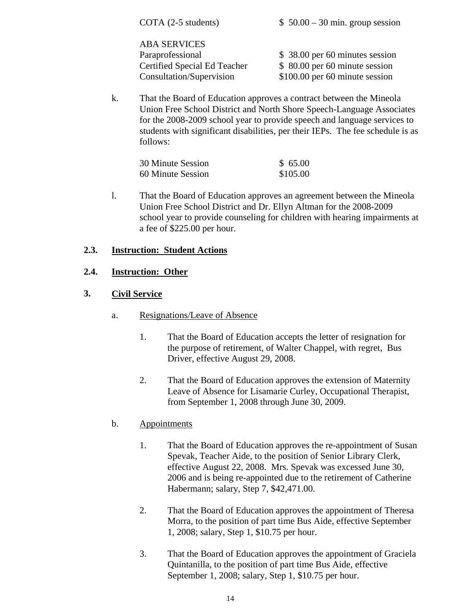| COTA $(2-5$ students)                                                                               | $$50.00 - 30$ min. group session                                                                   |
|-----------------------------------------------------------------------------------------------------|----------------------------------------------------------------------------------------------------|
| <b>ABA SERVICES</b><br>Paraprofessional<br>Certified Special Ed Teacher<br>Consultation/Supervision | \$38.00 per 60 minutes session<br>\$ 80.00 per 60 minute session<br>\$100.00 per 60 minute session |
|                                                                                                     |                                                                                                    |

k. That the Board of Education approves a contract between the Mineola Union Free School District and North Shore Speech-Language Associates for the 2008-2009 school year to provide speech and language services to students with significant disabilities, per their IEPs. The fee schedule is as follows:

| 30 Minute Session | \$65.00  |
|-------------------|----------|
| 60 Minute Session | \$105.00 |

l. That the Board of Education approves an agreement between the Mineola Union Free School District and Dr. Ellyn Altman for the 2008-2009 school year to provide counseling for children with hearing impairments at a fee of \$225.00 per hour.

## **2.3. Instruction: Student Actions**

## **2.4. Instruction: Other**

## **3. Civil Service**

- a. Resignations/Leave of Absence
	- 1. That the Board of Education accepts the letter of resignation for the purpose of retirement, of Walter Chappel, with regret, Bus Driver, effective August 29, 2008.
	- 2. That the Board of Education approves the extension of Maternity Leave of Absence for Lisamarie Curley, Occupational Therapist, from September 1, 2008 through June 30, 2009.

# b. Appointments

- 1. That the Board of Education approves the re-appointment of Susan Spevak, Teacher Aide, to the position of Senior Library Clerk, effective August 22, 2008. Mrs. Spevak was excessed June 30, 2006 and is being re-appointed due to the retirement of Catherine Habermann; salary, Step 7, \$42,471.00.
- 2. That the Board of Education approves the appointment of Theresa Morra, to the position of part time Bus Aide, effective September 1, 2008; salary, Step 1, \$10.75 per hour.
- 3. That the Board of Education approves the appointment of Graciela Quintanilla, to the position of part time Bus Aide, effective September 1, 2008; salary, Step 1, \$10.75 per hour.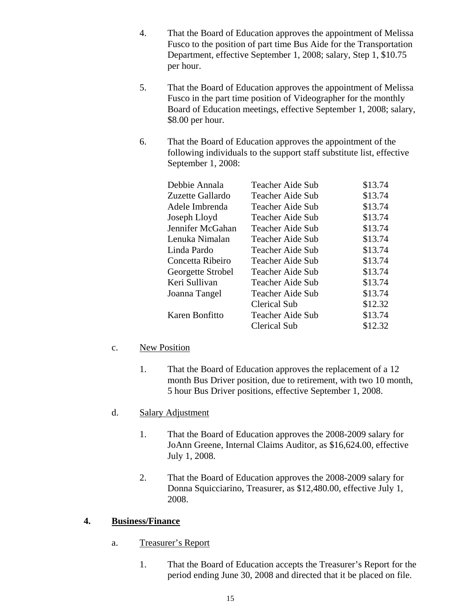- 4. That the Board of Education approves the appointment of Melissa Fusco to the position of part time Bus Aide for the Transportation Department, effective September 1, 2008; salary, Step 1, \$10.75 per hour.
- 5. That the Board of Education approves the appointment of Melissa Fusco in the part time position of Videographer for the monthly Board of Education meetings, effective September 1, 2008; salary, \$8.00 per hour.
- 6. That the Board of Education approves the appointment of the following individuals to the support staff substitute list, effective September 1, 2008:

| Debbie Annala     | Teacher Aide Sub | \$13.74 |
|-------------------|------------------|---------|
| Zuzette Gallardo  | Teacher Aide Sub | \$13.74 |
| Adele Imbrenda    | Teacher Aide Sub | \$13.74 |
| Joseph Lloyd      | Teacher Aide Sub | \$13.74 |
| Jennifer McGahan  | Teacher Aide Sub | \$13.74 |
| Lenuka Nimalan    | Teacher Aide Sub | \$13.74 |
| Linda Pardo       | Teacher Aide Sub | \$13.74 |
| Concetta Ribeiro  | Teacher Aide Sub | \$13.74 |
| Georgette Strobel | Teacher Aide Sub | \$13.74 |
| Keri Sullivan     | Teacher Aide Sub | \$13.74 |
| Joanna Tangel     | Teacher Aide Sub | \$13.74 |
|                   | Clerical Sub     | \$12.32 |
| Karen Bonfitto    | Teacher Aide Sub | \$13.74 |
|                   | Clerical Sub     | \$12.32 |

## c. New Position

1. That the Board of Education approves the replacement of a 12 month Bus Driver position, due to retirement, with two 10 month, 5 hour Bus Driver positions, effective September 1, 2008.

## d. Salary Adjustment

- 1. That the Board of Education approves the 2008-2009 salary for JoAnn Greene, Internal Claims Auditor, as \$16,624.00, effective July 1, 2008.
- 2. That the Board of Education approves the 2008-2009 salary for Donna Squicciarino, Treasurer, as \$12,480.00, effective July 1, 2008.

## **4. Business/Finance**

- a. Treasurer's Report
	- 1. That the Board of Education accepts the Treasurer's Report for the period ending June 30, 2008 and directed that it be placed on file.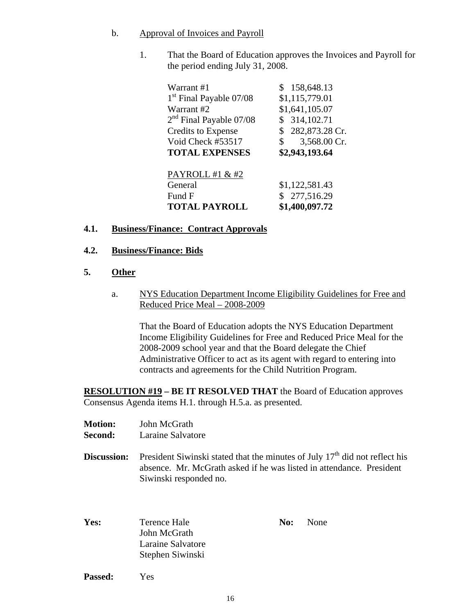#### b. Approval of Invoices and Payroll

1. That the Board of Education approves the Invoices and Payroll for the period ending July 31, 2008.

| Warrant #1                          | \$158,648.13       |
|-------------------------------------|--------------------|
| 1 <sup>st</sup> Final Payable 07/08 | \$1,115,779.01     |
| Warrant #2                          | \$1,641,105.07     |
| $2nd$ Final Payable 07/08           | \$314,102.71       |
| <b>Credits to Expense</b>           | \$282,873.28 Cr.   |
| Void Check #53517                   | 3,568.00 Cr.<br>\$ |
| <b>TOTAL EXPENSES</b>               | \$2,943,193.64     |
|                                     |                    |
| PAYROLL #1 & #2                     |                    |
| General                             | \$1,122,581.43     |
| Fund F                              | \$277,516.29       |
| <b>TOTAL PAYROLL</b>                | \$1,400,097.72     |

## **4.1. Business/Finance: Contract Approvals**

## **4.2. Business/Finance: Bids**

## **5. Other**

a. NYS Education Department Income Eligibility Guidelines for Free and Reduced Price Meal – 2008-2009

That the Board of Education adopts the NYS Education Department Income Eligibility Guidelines for Free and Reduced Price Meal for the 2008-2009 school year and that the Board delegate the Chief Administrative Officer to act as its agent with regard to entering into contracts and agreements for the Child Nutrition Program.

**RESOLUTION #19 – BE IT RESOLVED THAT** the Board of Education approves Consensus Agenda items H.1. through H.5.a. as presented.

- **Motion:** John McGrath
- **Second:** Laraine Salvatore
- **Discussion:** President Siwinski stated that the minutes of July 17<sup>th</sup> did not reflect his absence. Mr. McGrath asked if he was listed in attendance. President Siwinski responded no.
- **Yes:** Terence Hale **No:** None John McGrath Laraine Salvatore Stephen Siwinski

**Passed:** Yes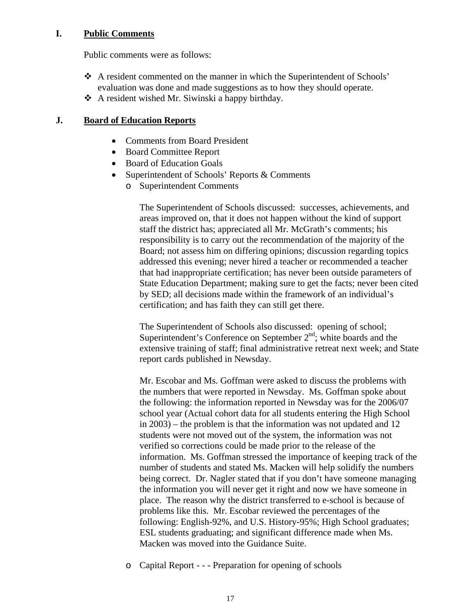## **I. Public Comments**

Public comments were as follows:

- A resident commented on the manner in which the Superintendent of Schools' evaluation was done and made suggestions as to how they should operate.
- $\triangle$  A resident wished Mr. Siwinski a happy birthday.

## **J. Board of Education Reports**

- Comments from Board President
- Board Committee Report
- Board of Education Goals
- Superintendent of Schools' Reports & Comments
	- o Superintendent Comments

The Superintendent of Schools discussed: successes, achievements, and areas improved on, that it does not happen without the kind of support staff the district has; appreciated all Mr. McGrath's comments; his responsibility is to carry out the recommendation of the majority of the Board; not assess him on differing opinions; discussion regarding topics addressed this evening; never hired a teacher or recommended a teacher that had inappropriate certification; has never been outside parameters of State Education Department; making sure to get the facts; never been cited by SED; all decisions made within the framework of an individual's certification; and has faith they can still get there.

The Superintendent of Schools also discussed: opening of school; Superintendent's Conference on September  $2<sup>nd</sup>$ ; white boards and the extensive training of staff; final administrative retreat next week; and State report cards published in Newsday.

Mr. Escobar and Ms. Goffman were asked to discuss the problems with the numbers that were reported in Newsday. Ms. Goffman spoke about the following: the information reported in Newsday was for the 2006/07 school year (Actual cohort data for all students entering the High School in 2003) – the problem is that the information was not updated and 12 students were not moved out of the system, the information was not verified so corrections could be made prior to the release of the information. Ms. Goffman stressed the importance of keeping track of the number of students and stated Ms. Macken will help solidify the numbers being correct. Dr. Nagler stated that if you don't have someone managing the information you will never get it right and now we have someone in place. The reason why the district transferred to e-school is because of problems like this. Mr. Escobar reviewed the percentages of the following: English-92%, and U.S. History-95%; High School graduates; ESL students graduating; and significant difference made when Ms. Macken was moved into the Guidance Suite.

o Capital Report - - - Preparation for opening of schools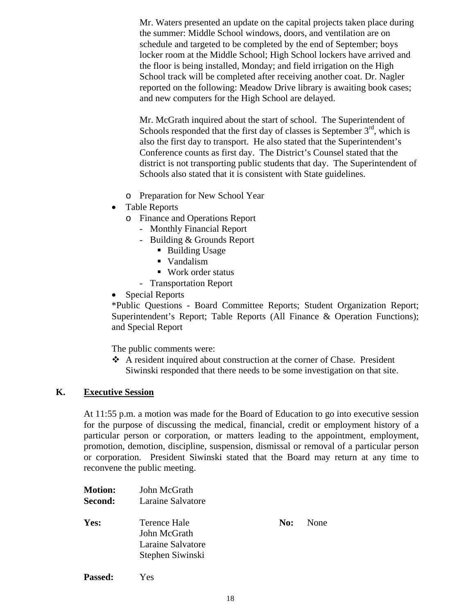Mr. Waters presented an update on the capital projects taken place during the summer: Middle School windows, doors, and ventilation are on schedule and targeted to be completed by the end of September; boys locker room at the Middle School; High School lockers have arrived and the floor is being installed, Monday; and field irrigation on the High School track will be completed after receiving another coat. Dr. Nagler reported on the following: Meadow Drive library is awaiting book cases; and new computers for the High School are delayed.

Mr. McGrath inquired about the start of school. The Superintendent of Schools responded that the first day of classes is September  $3<sup>rd</sup>$ , which is also the first day to transport. He also stated that the Superintendent's Conference counts as first day. The District's Counsel stated that the district is not transporting public students that day. The Superintendent of Schools also stated that it is consistent with State guidelines.

- o Preparation for New School Year
- Table Reports
	- o Finance and Operations Report
		- Monthly Financial Report
		- Building & Grounds Report
			- Building Usage
			- Vandalism
			- Work order status
		- Transportation Report
- Special Reports

\*Public Questions - Board Committee Reports; Student Organization Report; Superintendent's Report; Table Reports (All Finance & Operation Functions); and Special Report

The public comments were:

 A resident inquired about construction at the corner of Chase. President Siwinski responded that there needs to be some investigation on that site.

#### **K. Executive Session**

At 11:55 p.m. a motion was made for the Board of Education to go into executive session for the purpose of discussing the medical, financial, credit or employment history of a particular person or corporation, or matters leading to the appointment, employment, promotion, demotion, discipline, suspension, dismissal or removal of a particular person or corporation. President Siwinski stated that the Board may return at any time to reconvene the public meeting.

| <b>Motion:</b><br>Second: | John McGrath<br>Laraine Salvatore                                     |     |      |
|---------------------------|-----------------------------------------------------------------------|-----|------|
| Yes:                      | Terence Hale<br>John McGrath<br>Laraine Salvatore<br>Stephen Siwinski | No: | None |
|                           |                                                                       |     |      |

**Passed:** Yes